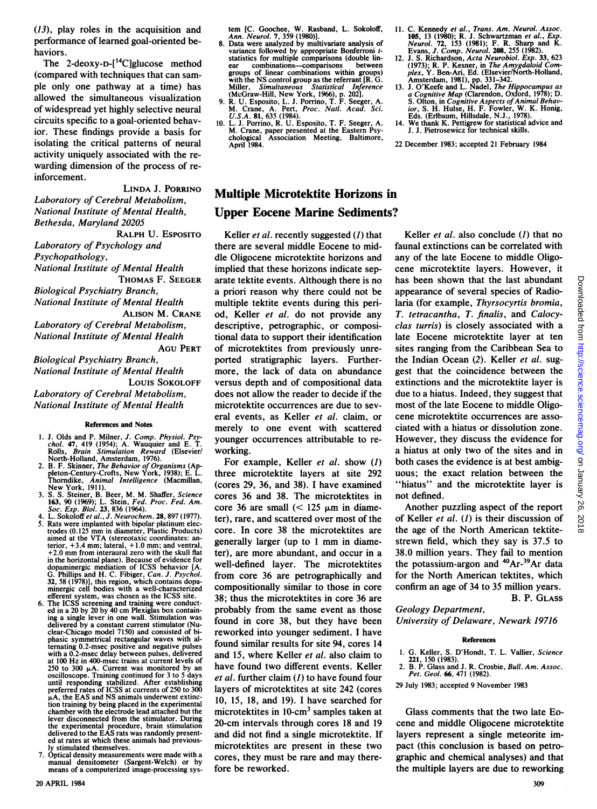(13), play roles in the acquisition and performance of learned goal-oriented behaviors.

The 2-deoxy-D- $[$ <sup>14</sup>C]glucose method (compared with techniques that can sample only one pathway at a time) has allowed the simultaneous visualization of widespread yet highly selective neural circuits specific to a goal-oriented behavior. These findings provide a basis for isolating the critical patterns of neural activity uniquely associated with the rewarding dimension of the process of reinforcement.

LINDA J. PORRINO Laboratory of Cerebral Metabolism, National Institute of Mental Health, Bethesda, Maryland 20205

RALPH U. EsPosITO Laboratory of Psychology and Psychopathology, National Institute of Mental Health THOMAS F. SEEGER Biological Psychiatry Branch,

National Institute of Mental Health ALISON M. CRANE Laboratory of Cerebral Metabolism, National Institute of Mental Health AGU PERT

Biological Psychiatry Branch, National Institute of Mental Health Louis SOKOLOFF Laboratory of Cerebral Metabolism, National Institute of Mental Health

#### References and Notes

- 1. J. Olds and P. Milner, J. Comp. Physiol. Psy-<br>chol. 47, 419 (1954); A. Wauquier and E. T.<br>Rolls, *Brain Stimulation Reward* (Elsevier/ North-Holland, Amsterdam, 1976).
- 2. B. F. Skinner, The Behavior of Organisms (Ap-pleton-Century-Crofts, New York, 1938); E. L.
- Thorndike, Animal Intelligence (Macmillan, New York, 1911).<br>3. S. S. Steiner, B. Beer, M. M. Shaffer, Science<br>163, 90 (1969); L. Stein, Fed. Proc. Fed. Am.<br>Soc. Exp. Biol. 23, 836 (1964). 4. L. Sokoloffet al., J. Neurochem. 28, 897 (1977).
- Rats were implanted with bipolar platinum electrodes (0.125 mm in diameter, Plastic Products) aimed at the VTA (stereotaxic coordinates: anterior, +3.4 mm; lateral, + 1.0 mm; and ventral, +2.0 mm from interaural zero with the skull flat in the horizontal plane). Because of evidence for dopaminergic mediation of ICSS behavior [A. G. Phillips and H. C. Fibiger, Can. J. Psychol. 32, 58 (1978)], this region, which contains dopa-minergic cell bodies with a well-characterized
- efferent system, was chosen as the ICSS site.<br>6. The ICSS screening and training were conduct-<br>ing a 20 by 20 by 40 cm Plexiglas box contain-<br>ing a single lever in one wall. Stimulation was delivered by a constant current stimulator (Nuclear-Chicago model 7150) and consisted of biphasic symmetrical rectangular waves with alternating 0.2-msec positive and negative pulses with a 0.2-msec delay between pulses, delivered at 100 Hz in 400-msec trains at current levels of 250 to 300 μA. Current was monitored by an<br>oscilloscope. Training continued for 3 to 5 days<br>until responding stabilized. After establishing<br>preferred rates of ICSS at currents of 250 to 300  $\mu$ A, the EAS and NS animals underwent extinction training by being placed in the experimental chamber with the electrode lead attached but the lever disconnected from the stimulator. During the experimental procedure, brain stimulation delivered to the EAS rats was randomly presented at rates at which these animals had previously stimulated themselves.
- 7. Optical density measurements were made with a manual densitometer (Sargent-Welch) or by means of a computerized image-processing sys-

tem [C. Goochee, W. Rasband, L. Sokoloff,<br>Ann. Neurol. 7, 359 (1980)].

- 8. Data were analyzed by multivariate analysis of variance followed by appropriate Bonferroni tstatistics for multiple comparisons (double linear combinations-comparisons between groups of linear combinations within groups) with the NS control group as the referrant [R. G.<br>Miller, Simultaneous Statistical Inference<br>(McGraw-Hill, New York, 1966), p. 202].<br>9. R. U. Esposito, L. J. Porrino, T. F. Seeger, A.<br>M. Crane, A. Pert, Proc. Natl. Acad. S
- 
- 10. L. J. Porrino, R. U. Esposito, T. F. Seeger, A. M. Crane, paper presented at the Eastern Psy-chological Association Meeting, Baltimore, April 1984.

# Multiple Microtektite Horizons in Upper Eocene Marine Sediments?

Keller *et al.* recently suggested  $(l)$  that there are several middle Eocene to middle Oligocene microtektite horizons and implied that these horizons indicate separate tektite events. Although there is no a priori reason why there could not be multiple tektite events during this period, Keller et al. do not provide any descriptive, petrographic, or compositional data to support their identification of microtektites from previously unreported stratigraphic layers. Furthermore, the lack of data on abundance versus depth and of compositional data does not allow the reader to decide if the microtektite occurrences are due to several events, as Keller et al. claim, or merely to one event with scattered younger occurrences attributable to reworking.

For example, Keller et al. show (1) three microtektite layers at site 292 (cores 29, 36, and 38). <sup>I</sup> have examined cores 36 and 38. The microtektites in core 36 are small  $(< 125 \mu m$  in diameter), rare, and scattered over most of the core. In core 38 the microtektites are generally larger (up to <sup>1</sup> mm in diameter), are more abundant, and occur in a well-defined layer. The microtektites from core 36 are petrographically and compositionally similar to those in core 38; thus the microtektites in core 36 are probably from the same event as those found in core 38, but they have been reworked into younger sediment. <sup>I</sup> have found similar results for site 94, cores 14 and 15, where Keller et al. also claim to have found two different events. Keller et al. further claim  $(I)$  to have found four layers of microtektites at site 242 (cores 10, 15, 18, and 19). <sup>I</sup> have searched for microtektites in  $10$ -cm<sup>3</sup> samples taken at 20-cm intervals through cores 18 and 19 and did not find a single microtektite. If microtektites are present in these two cores, they must be rare and may therefore be reworked.

- 11. C. Kennedy et al., Trans. Am. Neurol. Assoc.<br>105, 13 (1980); R. J. Schwartzman et al., Exp.<br>Neurol. 72, 153 (1981); F. R. Sharp and K.<br>Evans, J. Comp. Neurol. 208, 255 (1982).<br>12. J. S. Richardson, Acta Neurobiol. Exp
- (1973); R. P. Kesner, in *The Amygdaloid Com-*<br>plex, Y. Ben-Ari, Ed. (Elsevier/North-Holland,<br>Amsterdam, 1981), pp. 331-342.<br>13. J. O'Keefe and L. Nadel, *The Hippocampus as*<br>a Cognitive Map (Clarendon, Oxford, 1978); D.
- S. Olton, in *Cognitive Aspects of Animal Behav-*<br>*ior*, S. H. Hulse, H. F. Fowler, W. K. Honig,<br>Eds. (Erlbaum, Hillsdale, N.J., 1978).
- We thank K. Pettigrew for statistical advice and J. J. Pietrosewicz for technical skills.

22 December 1983; accepted 21 February 1984

Keller *et al.* also conclude  $(1)$  that no faunal extinctions can be correlated with any of the late Eocene to middle Oligocene microtektite layers. However, it has been shown that the last abundant appearance of several species of Radiolaria (for example, Thyrsocyrtis bromia, T. tetracantha, T. finalis, and Calocyclas turris) is closely associated with a late Eocene microtektite layer at ten sites ranging from the Caribbean Sea to the Indian Ocean (2). Keller et al. suggest that the coincidence between the extinctions and the microtektite layer is due to a hiatus. Indeed, they suggest that most of the late Eocene to middle Oligocene microtektite occurrences are associated with a hiatus or dissolution zone. However, they discuss the evidence for a hiatus at only two of the sites and in both cases the evidence is at best ambiguous; the exact relation between the "hiatus" and the microtektite layer is not defined.

Another puzzling aspect of the report of Keller et al. (1) is their discussion of the age of the North American tektitestrewn field, which they say is 37.5 to 38.0 million years. They fail to mention the potassium-argon and  $40Ar^{-39}Ar$  data for the North American tektites, which confirm an age of 34 to 35 million years. B. P. GLASS

## Geology Department,

University of Delaware, Newark 19716

## References

- 1. G. Keller, S. D'Hondt, T. L. Vallier, Science 221, 150 (1983).
- 2. B. P. Glass and J. R. Crosbie, Bull. Am. Assoc. Pet. Geol. 66, 471 (1982).
- 29 July 1983; accepted 9 November 1983

Glass comments that the two late Eocene and middle Oligocene microtektite layers represent a single meteorite impact (this conclusion is based on petrographic and chemical analyses) and that the multiple layers are due to reworking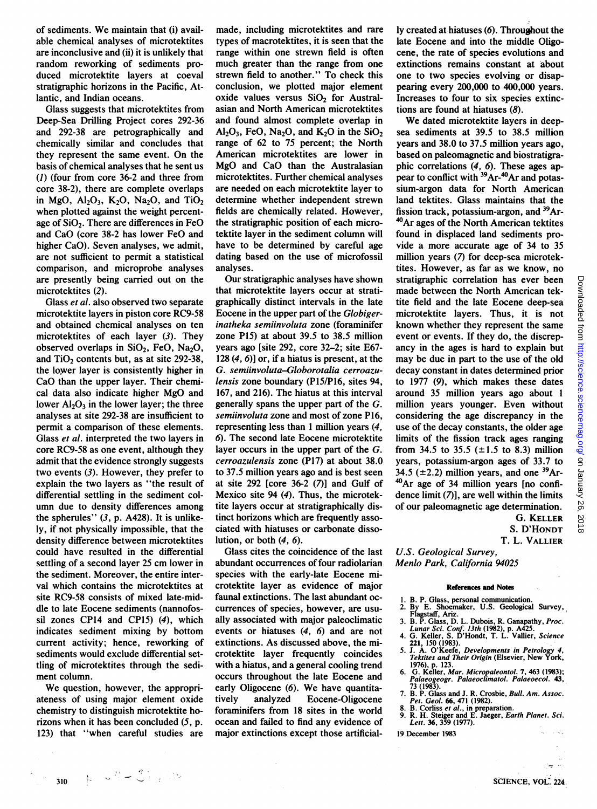of sediments. We maintain that (i) available chemical analyses of microtektites are inconclusive and (ii) it is unlikely that random reworking of sediments produced microtektite layers at coeval stratigraphic horizons in the Pacific, Atlantic, and Indian oceans.

Glass suggests that microtektites from Deep-Sea Drilling Project cores 292-36 and 292-38 are petrographically and chemically similar and concludes that they represent the same event. On the basis of chemical analyses that he sent us (1) (four from core 36-2 and three from core 38-2), there are complete overlaps in MgO,  $Al_2O_3$ ,  $K_2O$ ,  $Na_2O$ , and  $TiO_2$ when plotted against the weight percentage of  $SiO<sub>2</sub>$ . There are differences in FeO and CaO (core 38-2 has lower FeO and higher CaO). Seven analyses, we admit, are not sufficient to permit a statistical comparison, and microprobe analyses are presently being carried out on the microtektites (2).

Glass et al. also observed two separate microtektite layers in piston core RC9-58 and obtained chemical analyses on ten microtektites of each layer (3). They observed overlaps in  $SiO<sub>2</sub>$ , FeO, Na<sub>2</sub>O, and  $TiO<sub>2</sub>$  contents but, as at site 292-38, the lower layer is consistently higher in CaO than the upper layer. Their chemical data also indicate higher MgO and lower  $Al_2O_3$  in the lower layer; the three analyses at site 292-38 are insufficient to permit a comparison of these elements. Glass *et al.* interpreted the two layers in core RC9-58 as one event, although they admit that the evidence strongly suggests two events (3). However, they prefer to explain the two layers as "the result of differential settling in the sediment column due to density differences among the spherules"  $(3, p. A428)$ . It is unlikely, if not physically impossible, that the density difference between microtektites could have resulted in the differential settling of a second layer 25 cm lower in the sediment. Moreover, the entire interval which contains the microtektites at site RC9-58 consists of mixed late-middle to late Eocene sediments (nannofossil zones CP14 and CP15) (4), which indicates sediment mixing by bottom current activity; hence, reworking of sediments would exclude differential settling of microtektites through the sediment column.

We question, however, the appropriateness of using major element oxide chemistry to distinguish microtektite horizons when it has been concluded  $(5, p)$ . 123) that "when careful studies are

 $\label{eq:R1} \begin{array}{ll} \mathbf{k} & \mathbf{k}^2 \mathbf{R} + \mathbf{Q} \mathbf{k} \end{array}$ 

made, including microtektites and rare types of macrotektites, it is seen that the range within one strewn field is often much greater than the range from one strewn field to another." To check this conclusion, we plotted major element oxide values versus  $SiO<sub>2</sub>$  for Australasian and North American microtektites and found almost complete overlap in  $Al_2O_3$ , FeO, Na<sub>2</sub>O, and K<sub>2</sub>O in the SiO<sub>2</sub> range of 62 to 75 percent; the North American microtektites are lower in MgO and CaO than the Australasian microtektites. Further chemical analyses are needed on each microtektite layer to determine whether independent strewn fields are chemically related. However, the stratigraphic position of each microtektite layer in the sediment column will have to be determined by careful age dating based on the use of microfossil analyses.

Our stratigraphic analyses have shown that microtektite layers occur at stratigraphically distinct intervals in the late Eocene in the upper part of the Globigerinatheka semiinvoluta zone (foraminifer zone P15) at about 39.5 to 38.5 million years ago [site 292, core 32-2; site E67- 128 (4, 6)] or, if a hiatus is present, at the G. semiinvoluta-Globorotalia cerroazulensis zone boundary (P15/P16, sites 94, 167, and 216). The hiatus at this interval generally spans the upper part of the G. semiinvoluta zone and most of zone P16, representing less than <sup>1</sup> million years (4, 6). The second late Eocene microtektite layer occurs in the upper part of the G. cerroazulensis zone (P17) at about 38.0 to 37.5 million years ago and is best seen at site 292 [core 36-2 (7)] and Gulf of Mexico site 94 (4). Thus, the microtektite layers occur at stratigraphically distinct horizons which are frequently associated with hiatuses or carbonate dissolution, or both  $(4, 6)$ .

Glass cites the coincidence of the last abundant occurrences of four radiolarian species with the early-late Eocene microtektite layer as evidence of major faunal extinctions. The last abundant occurrences of species, however, are usually associated with major paleoclimatic events or hiatuses (4, 6) and are not extinctions. As discussed above, the microtektite layer frequently coincides with a hiatus, and a general cooling trend occurs throughout the late Eocene and early Oligocene (6). We have quantitatively analyzed Eocene-Oligocene foraminifers from 18 sites in the world ocean and failed to find any evidence of major extinctions except those artificially created at hiatuses (6). Throughout the late Eocene and into the middle Oligocene, the rate of species evolutions and extinctions remains constant at about one to two species evolving or disappearing every 200,000 to 400,000 years. Increases to four to six species extinctions are found at hiatuses (8).

We dated microtektite layers in deepsea sediments at 39.5 to 38.5 million years and 38.0 to 37.5 million years ago, based on paleomagnetic and biostratigraphic correlations (4, 6). These ages appear to conflict with <sup>39</sup>Ar-<sup>40</sup>Ar and potassium-argon data for North American land tektites. Glass maintains that the fission track, potassium-argon, and <sup>39</sup>Ar-<sup>40</sup>Ar ages of the North American tektites found in displaced land sediments provide a more accurate age of 34 to 35 million years (7) for deep-sea microtektites. However, as far as we know, no stratigraphic correlation has ever been made between the North American tektite field and the late Eocene deep-sea microtektite layers. Thus, it is not known whether they represent the same event or events. If they do, the discrepancy in the ages is hard to explain but may be due in part to the use of the old decay constant in dates determined prior to 1977 (9), which makes these dates around 35 million years ago about <sup>1</sup> million years younger. Even without considering the age discrepancy in the use of the decay constants, the older age limits of the fission track ages ranging from 34.5 to 35.5 ( $\pm$ 1.5 to 8.3) million years, potassium-argon ages of 33.7 to 34.5 ( $\pm$ 2.2) million years, and one <sup>39</sup>Ar-4OAr age of 34 million years [no confidence limit  $(7)$ ], are well within the limits of our paleomagnetic age determination.

G. KELLER S. D'HONDT

T. L. VALLIER

U.S. Geological Survey, Menlo Park, California 94025

#### References and Notes

- 
- 1. B. P. Glass, personal communication. 2. By E. Shoemaker, U.S. Geological Survey,
- Flagstaff, Ariz.<br>
3. B. P. Glass, D. L. Dubois, R. Ganapathy, Proc.<br>
Lunar Sci. Conf. 13th (1982), p. A425.<br>
4. G. Keller, S. D'Hondt, T. L. Vallier, Science<br>
5. 21, A. O'Keefe, Developments in Petrology 4,
- 
- Tektites and Their Origin (Elsevier, New York,
- 1976), p. 123. 6. G. Keller, Mar. Micropaleontol. 7, 463 (1983); Palaeogeogr. Palaeoclimatol. Palaeoecol. 43,
- 73 (1983). 7. B. P. Glass and J. R. Crosbie, Bull. Am. Assoc. Pet. Geol. 66, 471 (1982).
- 8. B. Corliss *et al.*, in preparation.<br>9. R. H. Steiger and E. Jaeger, *Earth Planet. Sci.*<br>Lett. 36, 359 (1977).

19 December 1983

310